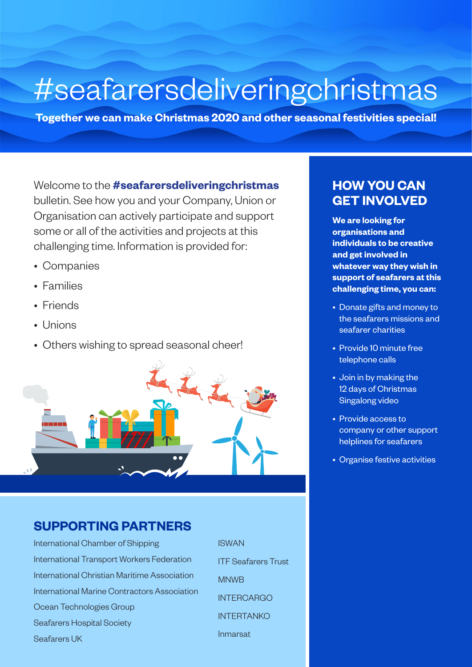## #seafarersdeliveringchristmas

**Together we can make Christmas 2020 and other seasonal festivities special!** 

Welcome to the **#seafarersdeliveringchristmas** bulletin. See how you and your Company, Union or Organisation can actively participate and support some or all of the activities and projects at this challenging time. Information is provided for:

- Companies
- Families
- Friends
- Unions
- Others wishing to spread seasonal cheer!



#### **SUPPORTING PARTNERS**

International Chamber of Shipping International Transport Workers Federation International Christian Maritime Association International Marine Contractors Association Ocean Technologies Group Seafarers Hospital Society Seafarers UK

ISWAN ITF Seafarers Trust MNWB **INTERCARGO** INTERTANKO Inmarsat

#### **HOW YOU CAN GET INVOLVED**

**We are looking for organisations and individuals to be creative and get involved in whatever way they wish in support of seafarers at this challenging time, you can:**

- Donate gifts and money to the seafarers missions and seafarer charities
- Provide 10 minute free telephone calls
- Join in by making the 12 days of Christmas Singalong video
- Provide access to company or other support helplines for seafarers
- Organise festive activities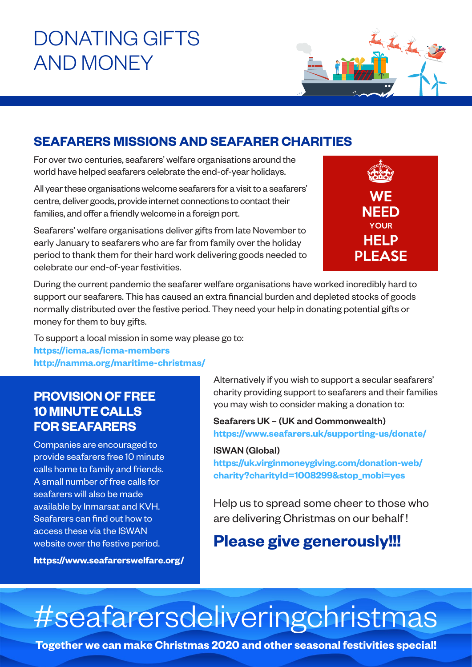## DONATING GIFTS AND MONEY

### **SEAFARERS MISSIONS AND SEAFARER CHARITIES**

For over two centuries, seafarers' welfare organisations around the world have helped seafarers celebrate the end-of-year holidays.

All year these organisations welcome seafarers for a visit to a seafarers' centre, deliver goods, provide internet connections to contact their families, and offer a friendly welcome in a foreign port.

Seafarers' welfare organisations deliver gifts from late November to early January to seafarers who are far from family over the holiday period to thank them for their hard work delivering goods needed to celebrate our end-of-year festivities.



During the current pandemic the seafarer welfare organisations have worked incredibly hard to support our seafarers. This has caused an extra financial burden and depleted stocks of goods normally distributed over the festive period. They need your help in donating potential gifts or money for them to buy gifts.

To support a local mission in some way please go to:

**<https://icma.as/icma-members> <http://namma.org/maritime-christmas/>**

### **PROVISION OF FREE 10 MINUTE CALLS FOR SEAFARERS**

Companies are encouraged to provide seafarers free 10 minute calls home to family and friends. A small number of free calls for seafarers will also be made available by Inmarsat and KVH. Seafarers can find out how to access these via the ISWAN website over the festive period.

**<https://www.seafarerswelfare.org/>**

Alternatively if you wish to support a secular seafarers' charity providing support to seafarers and their families you may wish to consider making a donation to:

Seafarers UK – (UK and Commonwealth) **<https://www.seafarers.uk/supporting-us/donate/>**

#### ISWAN (Global)

**[https://uk.virginmoneygiving.com/donation-web/](https://uk.virginmoneygiving.com/donation-web/charity?charityId=1008299&stop_mobi=yes) [charity?charityId=1008299&stop\\_mobi=yes](https://uk.virginmoneygiving.com/donation-web/charity?charityId=1008299&stop_mobi=yes)**

Help us to spread some cheer to those who are delivering Christmas on our behalf !

### **Please give generously!!!**

# #seafarersdeliveringchristmas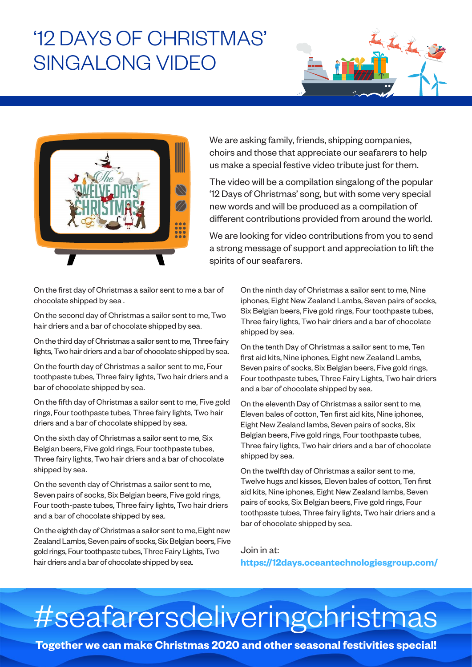### '12 DAYS OF CHRISTMAS' SINGALONG VIDEO



We are asking family, friends, shipping companies, choirs and those that appreciate our seafarers to help us make a special festive video tribute just for them.

The video will be a compilation singalong of the popular '12 Days of Christmas' song, but with some very special new words and will be produced as a compilation of different contributions provided from around the world.

We are looking for video contributions from you to send a strong message of support and appreciation to lift the spirits of our seafarers.

On the first day of Christmas a sailor sent to me a bar of chocolate shipped by sea .

On the second day of Christmas a sailor sent to me, Two hair driers and a bar of chocolate shipped by sea.

On the third day of Christmas a sailor sent to me, Three fairy lights, Two hair driers and a bar of chocolate shipped by sea.

On the fourth day of Christmas a sailor sent to me, Four toothpaste tubes, Three fairy lights, Two hair driers and a bar of chocolate shipped by sea.

On the fifth day of Christmas a sailor sent to me, Five gold rings, Four toothpaste tubes, Three fairy lights, Two hair driers and a bar of chocolate shipped by sea.

On the sixth day of Christmas a sailor sent to me, Six Belgian beers, Five gold rings, Four toothpaste tubes, Three fairy lights, Two hair driers and a bar of chocolate shipped by sea.

On the seventh day of Christmas a sailor sent to me, Seven pairs of socks, Six Belgian beers, Five gold rings, Four tooth-paste tubes, Three fairy lights, Two hair driers and a bar of chocolate shipped by sea.

On the eighth day of Christmas a sailor sent to me, Eight new Zealand Lambs, Seven pairs of socks, Six Belgian beers, Five gold rings, Four toothpaste tubes, Three Fairy Lights, Two hair driers and a bar of chocolate shipped by sea.

On the ninth day of Christmas a sailor sent to me, Nine iphones, Eight New Zealand Lambs, Seven pairs of socks, Six Belgian beers, Five gold rings, Four toothpaste tubes, Three fairy lights, Two hair driers and a bar of chocolate shipped by sea.

On the tenth Day of Christmas a sailor sent to me, Ten first aid kits, Nine iphones, Eight new Zealand Lambs, Seven pairs of socks, Six Belgian beers, Five gold rings, Four toothpaste tubes, Three Fairy Lights, Two hair driers and a bar of chocolate shipped by sea.

On the eleventh Day of Christmas a sailor sent to me, Eleven bales of cotton, Ten first aid kits, Nine iphones, Eight New Zealand lambs, Seven pairs of socks, Six Belgian beers, Five gold rings, Four toothpaste tubes, Three fairy lights, Two hair driers and a bar of chocolate shipped by sea.

On the twelfth day of Christmas a sailor sent to me, Twelve hugs and kisses, Eleven bales of cotton, Ten first aid kits, Nine iphones, Eight New Zealand lambs, Seven pairs of socks, Six Belgian beers, Five gold rings, Four toothpaste tubes, Three fairy lights, Two hair driers and a bar of chocolate shipped by sea.

Join in at: **<https://12days.oceantechnologiesgroup.com/>**

# #seafarersdeliveringchristmas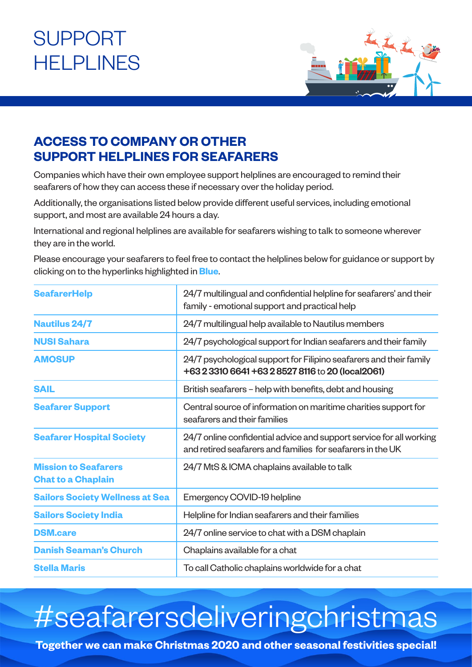## SUPPORT **HELPLINES**



### **ACCESS TO COMPANY OR OTHER SUPPORT HELPLINES FOR SEAFARERS**

Companies which have their own employee support helplines are encouraged to remind their seafarers of how they can access these if necessary over the holiday period.

Additionally, the organisations listed below provide different useful services, including emotional support, and most are available 24 hours a day.

International and regional helplines are available for seafarers wishing to talk to someone wherever they are in the world.

Please encourage your seafarers to feel free to contact the helplines below for guidance or support by clicking on to the hyperlinks highlighted in **Blue**.

| <b>SeafarerHelp</b>                                      | 24/7 multilingual and confidential helpline for seafarers' and their<br>family - emotional support and practical help             |  |
|----------------------------------------------------------|-----------------------------------------------------------------------------------------------------------------------------------|--|
| <b>Nautilus 24/7</b>                                     | 24/7 multilingual help available to Nautilus members                                                                              |  |
| <b>NUSI Sahara</b>                                       | 24/7 psychological support for Indian seafarers and their family                                                                  |  |
| <b>AMOSUP</b>                                            | 24/7 psychological support for Filipino seafarers and their family<br>+63 2 3310 6641 +63 2 8527 8116 to 20 (local2061)           |  |
| <b>SAIL</b>                                              | British seafarers - help with benefits, debt and housing                                                                          |  |
| <b>Seafarer Support</b>                                  | Central source of information on maritime charities support for<br>seafarers and their families                                   |  |
| <b>Seafarer Hospital Society</b>                         | 24/7 online confidential advice and support service for all working<br>and retired seafarers and families for seafarers in the UK |  |
| <b>Mission to Seafarers</b><br><b>Chat to a Chaplain</b> | 24/7 MtS & ICMA chaplains available to talk                                                                                       |  |
| <b>Sailors Society Wellness at Sea</b>                   | Emergency COVID-19 helpline                                                                                                       |  |
| <b>Sailors Society India</b>                             | Helpline for Indian seafarers and their families                                                                                  |  |
| <b>DSM.care</b>                                          | 24/7 online service to chat with a DSM chaplain                                                                                   |  |
| <b>Danish Seaman's Church</b>                            | Chaplains available for a chat                                                                                                    |  |
| <b>Stella Maris</b>                                      | To call Catholic chaplains worldwide for a chat                                                                                   |  |

## #seafarersdeliveringchristmas